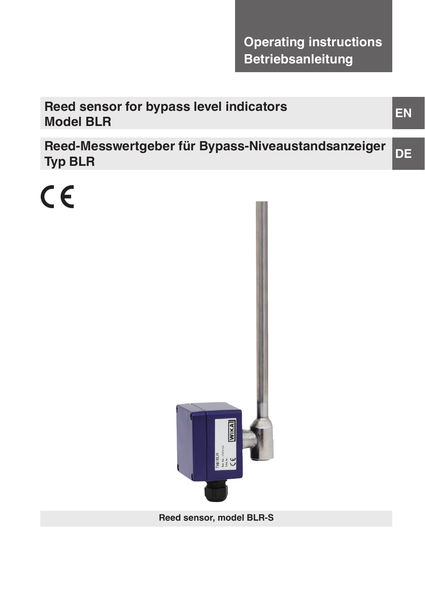**Operating instructions Betriebsanleitung**

# **Reed sensor for bypass level indicators Model BLR**

**Reed-Messwertgeber für Bypass-Niveaustandsanzeiger Typ BLR**

 $c\epsilon$ 



**Reed sensor, model BLR-S**

**EN**

**DE**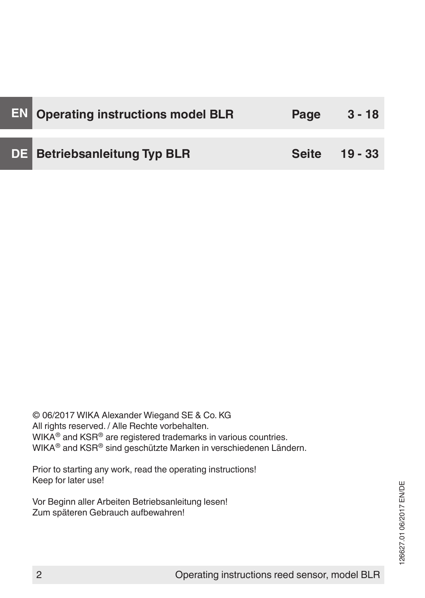| <b>EN</b> Operating instructions model BLR | Page         | 3 - 18    |
|--------------------------------------------|--------------|-----------|
| <b>DE</b> Betriebsanleitung Typ BLR        | <b>Seite</b> | $19 - 33$ |

© 06/2017 WIKA Alexander Wiegand SE & Co. KG All rights reserved. / Alle Rechte vorbehalten. WIKA<sup>®</sup> and KSR<sup>®</sup> are registered trademarks in various countries. WIKA® and KSR® sind geschützte Marken in verschiedenen Ländern.

Prior to starting any work, read the operating instructions! Keep for later use!

Vor Beginn aller Arbeiten Betriebsanleitung lesen! Zum späteren Gebrauch aufbewahren!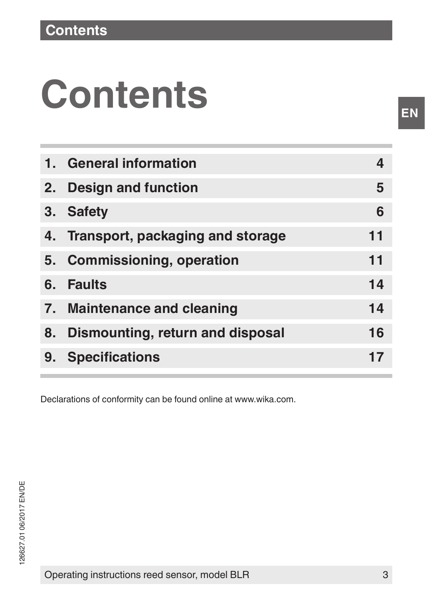# **Contents**

|    | 1. General information              | 4  |
|----|-------------------------------------|----|
|    | 2. Design and function              | 5  |
|    | 3. Safety                           | 6  |
|    | 4. Transport, packaging and storage | 11 |
|    | 5. Commissioning, operation         | 11 |
|    | 6. Faults                           | 14 |
|    | 7. Maintenance and cleaning         | 14 |
| 8. | Dismounting, return and disposal    | 16 |
| 9. | <b>Specifications</b>               | 17 |

Declarations of conformity can be found online at www.wika.com.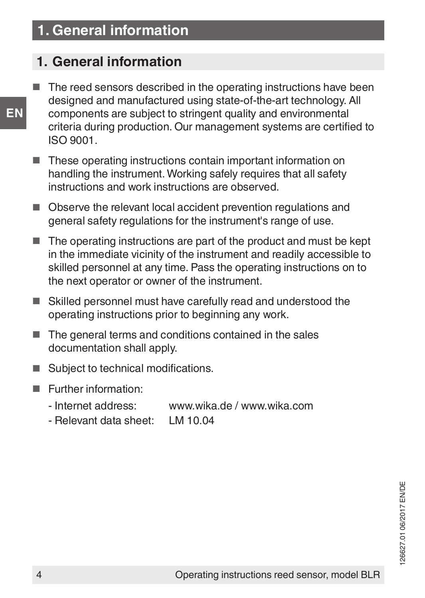# **1. General information**

# **1. General information**

- The reed sensors described in the operating instructions have been designed and manufactured using state-of-the-art technology. All components are subject to stringent quality and environmental criteria during production. Our management systems are certified to ISO 9001.
	- These operating instructions contain important information on handling the instrument. Working safely requires that all safety instructions and work instructions are observed.
	- Observe the relevant local accident prevention regulations and general safety regulations for the instrument's range of use.
	- The operating instructions are part of the product and must be kept in the immediate vicinity of the instrument and readily accessible to skilled personnel at any time. Pass the operating instructions on to the next operator or owner of the instrument.
	- Skilled personnel must have carefully read and understood the operating instructions prior to beginning any work.
	- The general terms and conditions contained in the sales documentation shall apply.
	- Subject to technical modifications.
	- Further information:
		- Internet address: www.wika.de / www.wika.com
		- Relevant data sheet: LM 10.04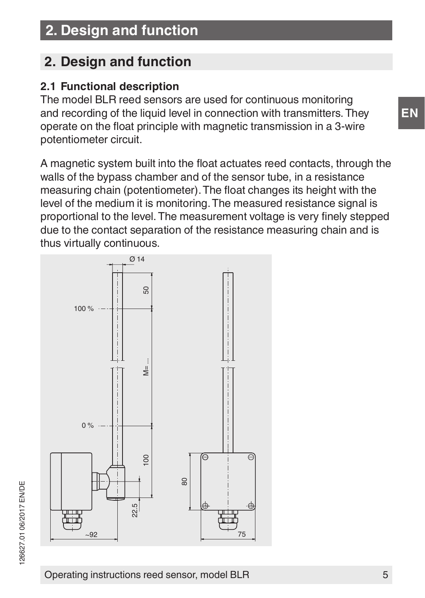# **2. Design and function**

# **2.1 Functional description**

The model BLR reed sensors are used for continuous monitoring and recording of the liquid level in connection with transmitters. They operate on the float principle with magnetic transmission in a 3-wire potentiometer circuit.

A magnetic system built into the float actuates reed contacts, through the walls of the bypass chamber and of the sensor tube, in a resistance measuring chain (potentiometer). The float changes its height with the level of the medium it is monitoring. The measured resistance signal is proportional to the level. The measurement voltage is very finely stepped due to the contact separation of the resistance measuring chain and is thus virtually continuous.

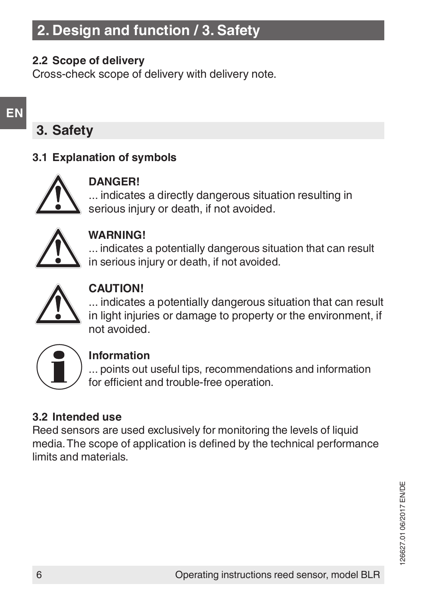# **2. Design and function / 3. Safety**

## **2.2 Scope of delivery**

Cross-check scope of delivery with delivery note.

# **3. Safety**

## **3.1 Explanation of symbols**



#### **DANGER!**

... indicates a directly dangerous situation resulting in serious injury or death, if not avoided.



### **WARNING!**

... indicates a potentially dangerous situation that can result in serious injury or death, if not avoided.



# **CAUTION!**

... indicates a potentially dangerous situation that can result in light injuries or damage to property or the environment, if not avoided.



### **Information**

... points out useful tips, recommendations and information for efficient and trouble-free operation.

### **3.2 Intended use**

Reed sensors are used exclusively for monitoring the levels of liquid media. The scope of application is defined by the technical performance limits and materials.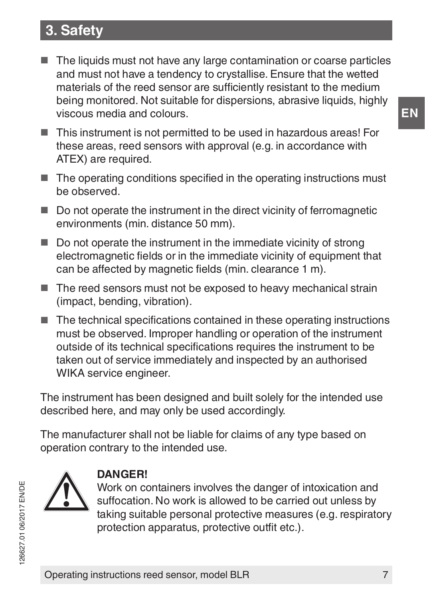- The liquids must not have any large contamination or coarse particles and must not have a tendency to crystallise. Ensure that the wetted materials of the reed sensor are sufficiently resistant to the medium being monitored. Not suitable for dispersions, abrasive liquids, highly viscous media and colours.
- This instrument is not permitted to be used in hazardous areas! For these areas, reed sensors with approval (e.g. in accordance with ATEX) are required.
- The operating conditions specified in the operating instructions must be observed.
- Do not operate the instrument in the direct vicinity of ferromagnetic environments (min. distance 50 mm).
- $\blacksquare$  Do not operate the instrument in the immediate vicinity of strong electromagnetic fields or in the immediate vicinity of equipment that can be affected by magnetic fields (min. clearance 1 m).
- The reed sensors must not be exposed to heavy mechanical strain (impact, bending, vibration).
- The technical specifications contained in these operating instructions must be observed. Improper handling or operation of the instrument outside of its technical specifications requires the instrument to be taken out of service immediately and inspected by an authorised WIKA service engineer.

The instrument has been designed and built solely for the intended use described here, and may only be used accordingly.

The manufacturer shall not be liable for claims of any type based on operation contrary to the intended use.



### **DANGER!**

Work on containers involves the danger of intoxication and suffocation. No work is allowed to be carried out unless by taking suitable personal protective measures (e.g. respiratory protection apparatus, protective outfit etc.).

**EN**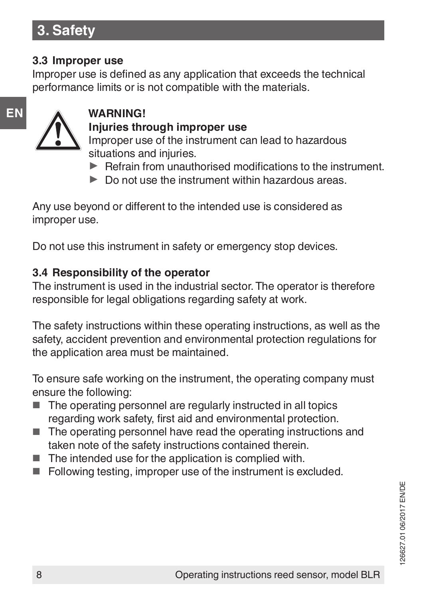#### **3.3 Improper use**

Improper use is defined as any application that exceeds the technical performance limits or is not compatible with the materials.



**EN**

#### **WARNING! Injuries through improper use**

Improper use of the instrument can lead to hazardous situations and injuries.

- $\blacktriangleright$  Refrain from unauthorised modifications to the instrument.
- ▶ Do not use the instrument within hazardous areas.

Any use beyond or different to the intended use is considered as improper use.

Do not use this instrument in safety or emergency stop devices.

### **3.4 Responsibility of the operator**

The instrument is used in the industrial sector. The operator is therefore responsible for legal obligations regarding safety at work.

The safety instructions within these operating instructions, as well as the safety, accident prevention and environmental protection regulations for the application area must be maintained.

To ensure safe working on the instrument, the operating company must ensure the following:

- The operating personnel are regularly instructed in all topics regarding work safety, first aid and environmental protection.
- The operating personnel have read the operating instructions and taken note of the safety instructions contained therein.
- The intended use for the application is complied with.
- Following testing, improper use of the instrument is excluded.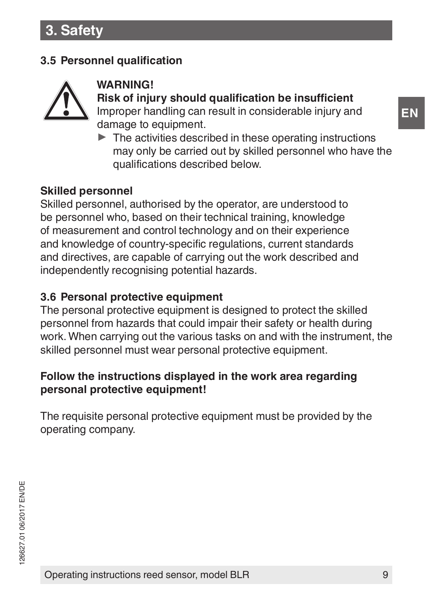## **3.5 Personnel qualification**



# **WARNING! Risk of injury should qualification be insufficient**

Improper handling can result in considerable injury and damage to equipment.

 $\blacktriangleright$  The activities described in these operating instructions may only be carried out by skilled personnel who have the qualifications described below.

#### **Skilled personnel**

Skilled personnel, authorised by the operator, are understood to be personnel who, based on their technical training, knowledge of measurement and control technology and on their experience and knowledge of country-specific regulations, current standards and directives, are capable of carrying out the work described and independently recognising potential hazards.

#### **3.6 Personal protective equipment**

The personal protective equipment is designed to protect the skilled personnel from hazards that could impair their safety or health during work. When carrying out the various tasks on and with the instrument, the skilled personnel must wear personal protective equipment.

#### **Follow the instructions displayed in the work area regarding personal protective equipment!**

The requisite personal protective equipment must be provided by the operating company.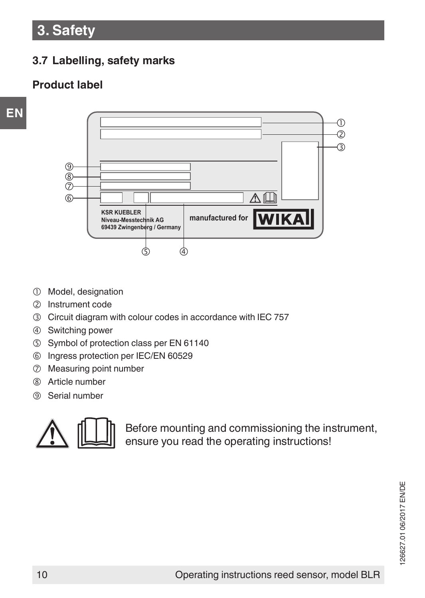# **3.7 Labelling, safety marks**

## **Product label**

| ⊚<br>$^{\circledR}$<br>6<br>6 |                                                                                                            | 2<br>3 |
|-------------------------------|------------------------------------------------------------------------------------------------------------|--------|
|                               | <b>KSR KUEBLER</b><br>manufactured for <b>WIKA</b><br>Niveau-Messtechnik AG<br>69439 Zwingenberg / Germany |        |
|                               |                                                                                                            |        |

- Model, designation
- Instrument code
- Circuit diagram with colour codes in accordance with IEC 757
- Switching power
- Symbol of protection class per EN 61140
- Ingress protection per IEC/EN 60529
- Measuring point number
- Article number
- Serial number



Before mounting and commissioning the instrument, ensure you read the operating instructions!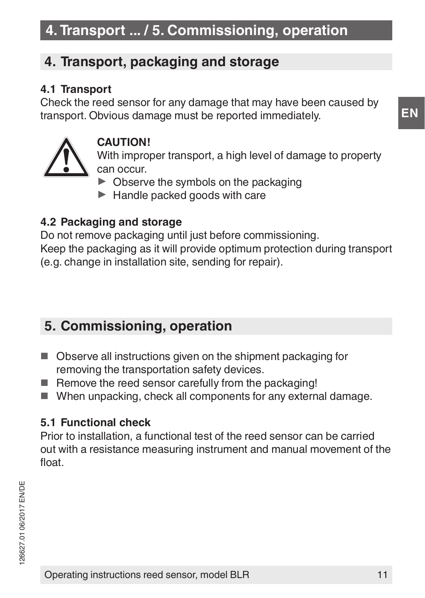# **4. Transport ... / 5. Commissioning, operation**

# **4. Transport, packaging and storage**

### **4.1 Transport**

Check the reed sensor for any damage that may have been caused by transport. Obvious damage must be reported immediately.



## **CAUTION!**

With improper transport, a high level of damage to property can occur.

- $\triangleright$  Observe the symbols on the packaging
- $\blacktriangleright$  Handle packed goods with care

## **4.2 Packaging and storage**

Do not remove packaging until just before commissioning. Keep the packaging as it will provide optimum protection during transport (e.g. change in installation site, sending for repair).

# **5. Commissioning, operation**

- Observe all instructions given on the shipment packaging for removing the transportation safety devices.
- Remove the reed sensor carefully from the packaging!
- When unpacking, check all components for any external damage.

#### **5.1 Functional check**

Prior to installation, a functional test of the reed sensor can be carried out with a resistance measuring instrument and manual movement of the float.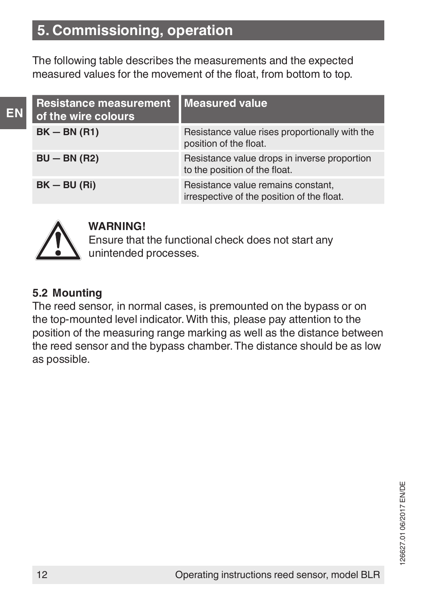# **5. Commissioning, operation**

The following table describes the measurements and the expected measured values for the movement of the float, from bottom to top.

| <b>Resistance measurement</b><br>of the wire colours | l Measured value                                                                 |
|------------------------------------------------------|----------------------------------------------------------------------------------|
| $BK - BN (R1)$                                       | Resistance value rises proportionally with the<br>position of the float.         |
| $BU - BN (R2)$                                       | Resistance value drops in inverse proportion<br>to the position of the float.    |
| $BK - BU (Ri)$                                       | Resistance value remains constant,<br>irrespective of the position of the float. |



**EN**

#### **WARNING!**

Ensure that the functional check does not start any unintended processes.

#### **5.2 Mounting**

The reed sensor, in normal cases, is premounted on the bypass or on the top-mounted level indicator. With this, please pay attention to the position of the measuring range marking as well as the distance between the reed sensor and the bypass chamber. The distance should be as low as possible.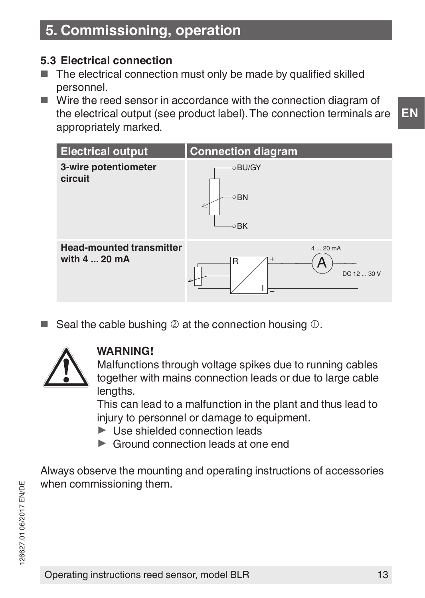## **5.3 Electrical connection**

- The electrical connection must only be made by qualified skilled personnel.
- Wire the reed sensor in accordance with the connection diagram of the electrical output (see product label). The connection terminals are appropriately marked.



■ Seal the cable bushing  $\oslash$  at the connection housing  $\oslash$ .



## **WARNING!**

Malfunctions through voltage spikes due to running cables together with mains connection leads or due to large cable lengths.

This can lead to a malfunction in the plant and thus lead to injury to personnel or damage to equipment.

- ▶ Use shielded connection leads
- ▶ Ground connection leads at one end

Always observe the mounting and operating instructions of accessories when commissioning them.

Operating instructions reed sensor, model BLR

13

**EN**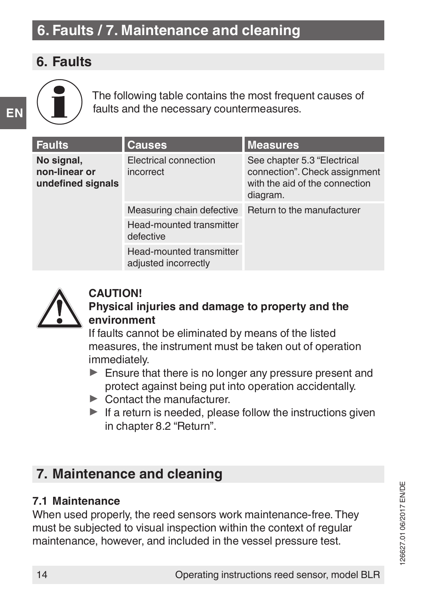# **6. Faults / 7. Maintenance and cleaning**

# **6. Faults**



The following table contains the most frequent causes of faults and the necessary countermeasures.

| <b>Faults</b>                                    | <b>Causes</b>                                    | <b>Measures</b>                                                                                            |
|--------------------------------------------------|--------------------------------------------------|------------------------------------------------------------------------------------------------------------|
| No signal,<br>non-linear or<br>undefined signals | Electrical connection<br>incorrect               | See chapter 5.3 "Electrical<br>connection". Check assignment<br>with the aid of the connection<br>diagram. |
|                                                  | Measuring chain defective                        | Return to the manufacturer                                                                                 |
|                                                  | Head-mounted transmitter<br>defective            |                                                                                                            |
|                                                  | Head-mounted transmitter<br>adjusted incorrectly |                                                                                                            |



# **CAUTION!**

## **Physical injuries and damage to property and the environment**

If faults cannot be eliminated by means of the listed measures, the instrument must be taken out of operation immediately.

- $\blacktriangleright$  Ensure that there is no longer any pressure present and protect against being put into operation accidentally.
- ▶ Contact the manufacturer.
- $\blacktriangleright$  If a return is needed, please follow the instructions given in chapter 8.2 "Return".

# **7. Maintenance and cleaning**

### **7.1 Maintenance**

When used properly, the reed sensors work maintenance-free. They must be subjected to visual inspection within the context of regular maintenance, however, and included in the vessel pressure test.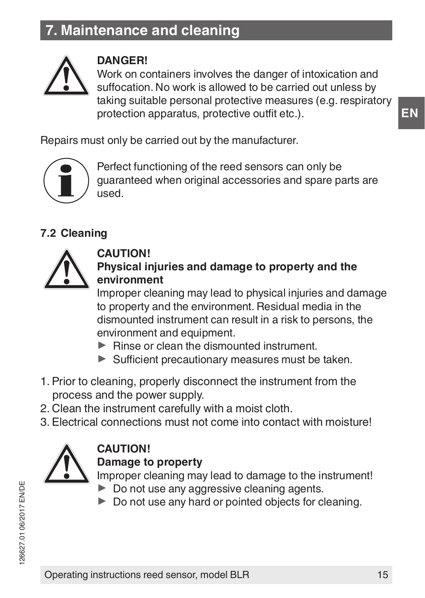# **Maintenance and cleaning**



## **DANGER!**

**CAUTION!**

Work on containers involves the danger of intoxication and suffocation. No work is allowed to be carried out unless by taking suitable personal protective measures (e.g. respiratory protection apparatus, protective outfit etc.).

Repairs must only be carried out by the manufacturer.



Perfect functioning of the reed sensors can only be guaranteed when original accessories and spare parts are used.

# **7.2 Cleaning**



# **Physical injuries and damage to property and the environment**

Improper cleaning may lead to physical injuries and damage to property and the environment. Residual media in the dismounted instrument can result in a risk to persons, the environment and equipment.

- $\triangleright$  Rinse or clean the dismounted instrument.
- $\triangleright$  Sufficient precautionary measures must be taken.
- 1. Prior to cleaning, properly disconnect the instrument from the process and the power supply.
- 2. Clean the instrument carefully with a moist cloth.
- 3. Electrical connections must not come into contact with moisture!



# **CAUTION!**

## **Damage to property**

Improper cleaning may lead to damage to the instrument!  $\triangleright$  Do not use any aggressive cleaning agents.

▶ Do not use any hard or pointed objects for cleaning.

**EN**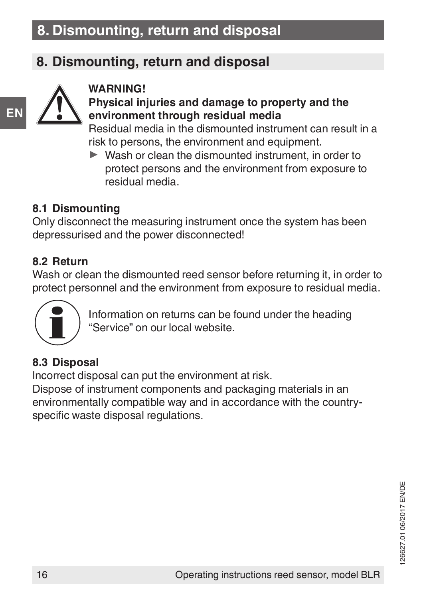# **8. Dismounting, return and disposal**

# **8. Dismounting, return and disposal**



**EN**

#### **WARNING! Physical injuries and damage to property and the environment through residual media**

Residual media in the dismounted instrument can result in a risk to persons, the environment and equipment.

 $\triangleright$  Wash or clean the dismounted instrument, in order to protect persons and the environment from exposure to residual media.

## **8.1 Dismounting**

Only disconnect the measuring instrument once the system has been depressurised and the power disconnected!

## **8.2 Return**

Wash or clean the dismounted reed sensor before returning it, in order to protect personnel and the environment from exposure to residual media.



Information on returns can be found under the heading "Service" on our local website.

## **8.3 Disposal**

Incorrect disposal can put the environment at risk.

Dispose of instrument components and packaging materials in an environmentally compatible way and in accordance with the countryspecific waste disposal regulations.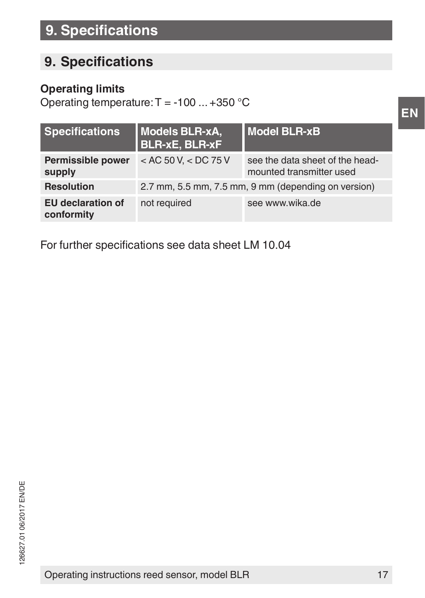# **9. Specifications**

# **9. Specifications**

# **Operating limits**

Operating temperature:  $T = -100 ... +350 °C$ 

| <b>Specifications</b>                  | Models BLR-xA,<br><b>BLR-xE, BLR-xF</b> | <b>Model BLR-xB</b>                                         |
|----------------------------------------|-----------------------------------------|-------------------------------------------------------------|
| Permissible power<br>supply            | < AC 50 V, < DC 75 V                    | see the data sheet of the head-<br>mounted transmitter used |
| <b>Resolution</b>                      |                                         | 2.7 mm, 5.5 mm, 7.5 mm, 9 mm (depending on version)         |
| <b>EU</b> declaration of<br>conformity | not required                            | see www.wika.de                                             |

For further specifications see data sheet LM 10.04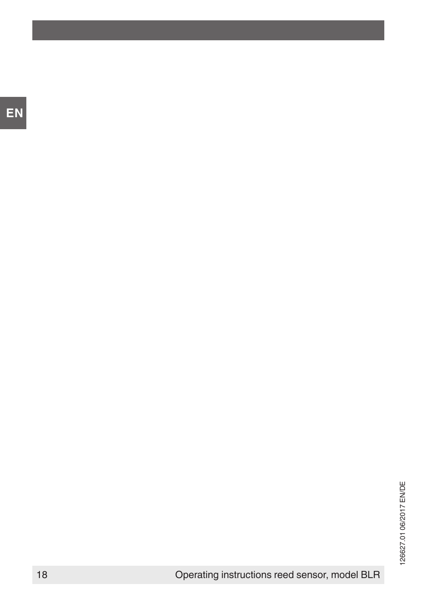**EN**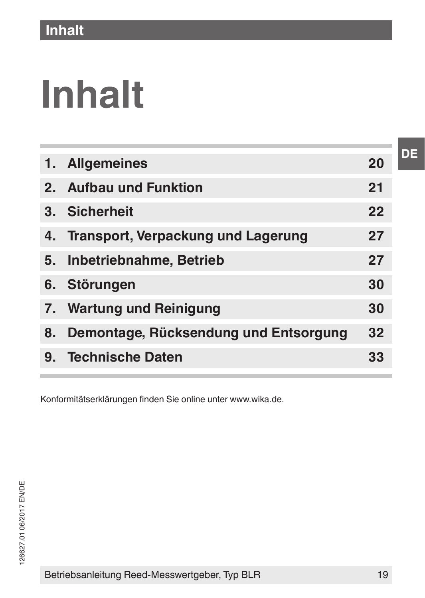# **Inhalt**

|    | 1. Allgemeines                        | 20 |
|----|---------------------------------------|----|
|    | 2. Aufbau und Funktion                | 21 |
|    | 3. Sicherheit                         | 22 |
|    | 4. Transport, Verpackung und Lagerung | 27 |
|    | 5. Inbetriebnahme, Betrieb            | 27 |
|    | 6. Störungen                          | 30 |
|    | 7. Wartung und Reinigung              | 30 |
| 8. | Demontage, Rücksendung und Entsorgung | 32 |
|    | 9. Technische Daten                   | 33 |
|    |                                       |    |

Konformitätserklärungen finden Sie online unter www.wika.de.

**DE**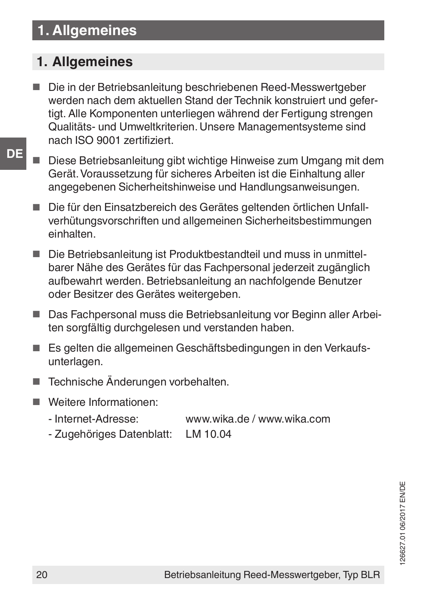# **1. Allgemeines**

# **1. Allgemeines**

- Die in der Betriebsanleitung beschriebenen Reed-Messwertgeber werden nach dem aktuellen Stand der Technik konstruiert und gefertigt. Alle Komponenten unterliegen während der Fertigung strengen Qualitäts- und Umweltkriterien. Unsere Managementsysteme sind nach ISO 9001 zertifiziert.
- **DE**
- Diese Betriebsanleitung gibt wichtige Hinweise zum Umgang mit dem Gerät. Voraussetzung für sicheres Arbeiten ist die Einhaltung aller angegebenen Sicherheitshinweise und Handlungsanweisungen.
- Die für den Einsatzbereich des Gerätes geltenden örtlichen Unfallverhütungsvorschriften und allgemeinen Sicherheitsbestimmungen einhalten.
- Die Betriebsanleitung ist Produktbestandteil und muss in unmittelbarer Nähe des Gerätes für das Fachpersonal jederzeit zugänglich aufbewahrt werden. Betriebsanleitung an nachfolgende Benutzer oder Besitzer des Gerätes weitergeben.
- Das Fachpersonal muss die Betriebsanleitung vor Beginn aller Arbeiten sorgfältig durchgelesen und verstanden haben.
- Es gelten die allgemeinen Geschäftsbedingungen in den Verkaufsunterlagen.
- Technische Änderungen vorbehalten.
- Weitere Informationen:
	- Internet-Adresse: www.wika.de / www.wika.com
	- Zugehöriges Datenblatt: LM 10.04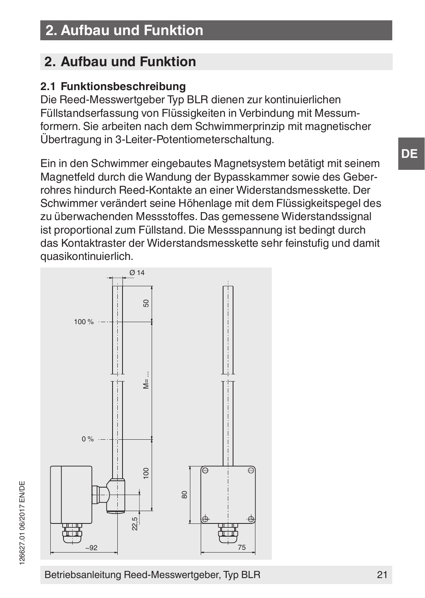# **2. Aufbau und Funktion**

# **2. Aufbau und Funktion**

## **2.1 Funktionsbeschreibung**

Die Reed-Messwertgeber Typ BLR dienen zur kontinuierlichen Füllstandserfassung von Flüssigkeiten in Verbindung mit Messumformern. Sie arbeiten nach dem Schwimmerprinzip mit magnetischer Übertragung in 3-Leiter-Potentiometerschaltung.

Ein in den Schwimmer eingebautes Magnetsystem betätigt mit seinem Magnetfeld durch die Wandung der Bypasskammer sowie des Geberrohres hindurch Reed-Kontakte an einer Widerstandsmesskette. Der Schwimmer verändert seine Höhenlage mit dem Flüssigkeitspegel des zu überwachenden Messstoffes. Das gemessene Widerstandssignal ist proportional zum Füllstand. Die Messspannung ist bedingt durch das Kontaktraster der Widerstandsmesskette sehr feinstufig und damit quasikontinuierlich.



126627.01 06/2017 EN/DE

26627.01 06/2017 EN/DE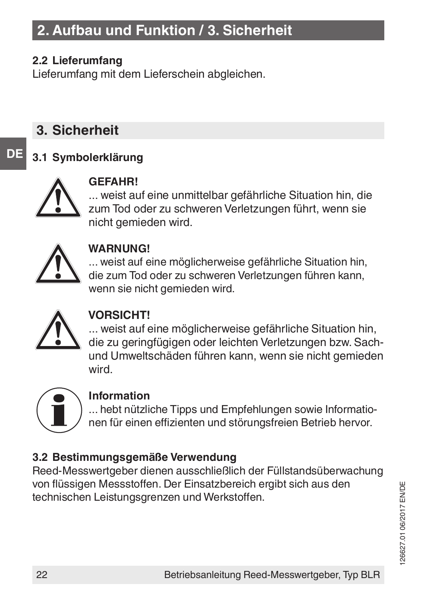# **2. Aufbau und Funktion / 3. Sicherheit**

# **2.2 Lieferumfang**

Lieferumfang mit dem Lieferschein abgleichen.

# **3. Sicherheit**

**DE**

# **3.1 Symbolerklärung**



## **GEFAHR!**

... weist auf eine unmittelbar gefährliche Situation hin, die zum Tod oder zu schweren Verletzungen führt, wenn sie nicht gemieden wird.



# **WARNUNG!**

... weist auf eine möglicherweise gefährliche Situation hin, die zum Tod oder zu schweren Verletzungen führen kann, wenn sie nicht gemieden wird.



# **VORSICHT!**

... weist auf eine möglicherweise gefährliche Situation hin, die zu geringfügigen oder leichten Verletzungen bzw. Sachund Umweltschäden führen kann, wenn sie nicht gemieden wird.



# **Information**

... hebt nützliche Tipps und Empfehlungen sowie Informationen für einen effizienten und störungsfreien Betrieb hervor.

# **3.2 Bestimmungsgemäße Verwendung**

Reed-Messwertgeber dienen ausschließlich der Füllstandsüberwachung von flüssigen Messstoffen. Der Einsatzbereich ergibt sich aus den technischen Leistungsgrenzen und Werkstoffen.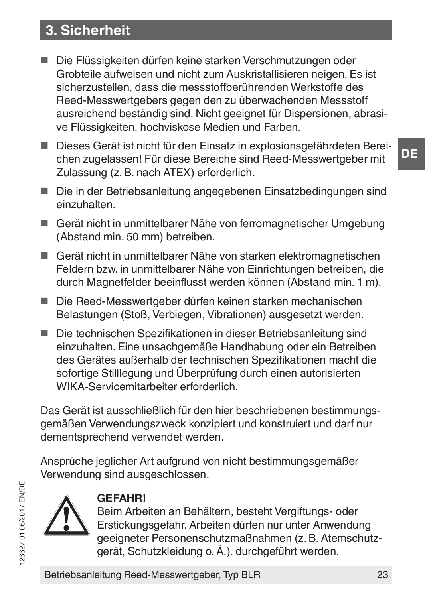- Die Flüssigkeiten dürfen keine starken Verschmutzungen oder Grobteile aufweisen und nicht zum Auskristallisieren neigen. Es ist sicherzustellen, dass die messstoffberührenden Werkstoffe des Reed-Messwertgebers gegen den zu überwachenden Messstoff ausreichend beständig sind. Nicht geeignet für Dispersionen, abrasive Flüssigkeiten, hochviskose Medien und Farben.
- Dieses Gerät ist nicht für den Einsatz in explosionsgefährdeten Bereichen zugelassen! Für diese Bereiche sind Reed-Messwertgeber mit Zulassung (z. B. nach ATEX) erforderlich.
- Die in der Betriebsanleitung angegebenen Einsatzbedingungen sind einzuhalten.
- Gerät nicht in unmittelbarer Nähe von ferromagnetischer Umgebung (Abstand min. 50 mm) betreiben.
- Gerät nicht in unmittelbarer Nähe von starken elektromagnetischen Feldern bzw. in unmittelbarer Nähe von Einrichtungen betreiben, die durch Magnetfelder beeinflusst werden können (Abstand min. 1 m).
- Die Reed-Messwertgeber dürfen keinen starken mechanischen Belastungen (Stoß, Verbiegen, Vibrationen) ausgesetzt werden.
- Die technischen Spezifikationen in dieser Betriebsanleitung sind einzuhalten. Eine unsachgemäße Handhabung oder ein Betreiben des Gerätes außerhalb der technischen Spezifikationen macht die sofortige Stilllegung und Überprüfung durch einen autorisierten WIKA-Servicemitarbeiter erforderlich.

Das Gerät ist ausschließlich für den hier beschriebenen bestimmungsgemäßen Verwendungszweck konzipiert und konstruiert und darf nur dementsprechend verwendet werden.

Ansprüche jeglicher Art aufgrund von nicht bestimmungsgemäßer Verwendung sind ausgeschlossen.



126627.01 06/2017 EN/DE

26627.01 06/2017 EN/DE

#### **GEFAHR!**

Beim Arbeiten an Behältern, besteht Vergiftungs- oder Erstickungsgefahr. Arbeiten dürfen nur unter Anwendung geeigneter Personenschutzmaßnahmen (z. B. Atemschutzgerät, Schutzkleidung o. Ä.). durchgeführt werden.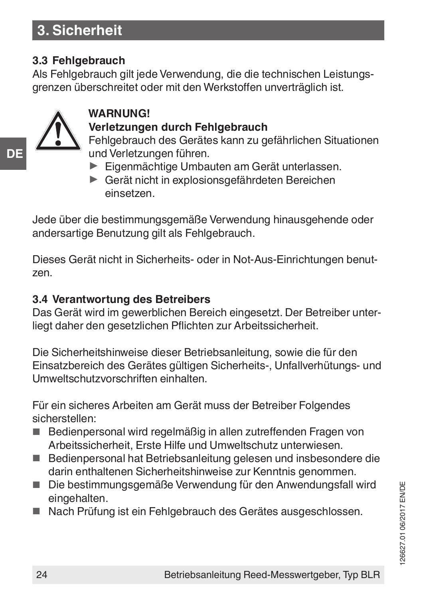## **3.3 Fehlgebrauch**

Als Fehlgebrauch gilt jede Verwendung, die die technischen Leistungsgrenzen überschreitet oder mit den Werkstoffen unverträglich ist.



**DE**

#### **WARNUNG! Verletzungen durch Fehlgebrauch**

Fehlgebrauch des Gerätes kann zu gefährlichen Situationen und Verletzungen führen.

- ▶ Eigenmächtige Umbauten am Gerät unterlassen.
- ▶ Gerät nicht in explosionsgefährdeten Bereichen einsetzen.

Jede über die bestimmungsgemäße Verwendung hinausgehende oder andersartige Benutzung gilt als Fehlgebrauch.

Dieses Gerät nicht in Sicherheits- oder in Not-Aus-Einrichtungen benutzen.

#### **3.4 Verantwortung des Betreibers**

Das Gerät wird im gewerblichen Bereich eingesetzt. Der Betreiber unterliegt daher den gesetzlichen Pflichten zur Arbeitssicherheit.

Die Sicherheitshinweise dieser Betriebsanleitung, sowie die für den Einsatzbereich des Gerätes gültigen Sicherheits-, Unfallverhütungs- und Umweltschutzvorschriften einhalten.

Für ein sicheres Arbeiten am Gerät muss der Betreiber Folgendes sicherstellen:

- Bedienpersonal wird regelmäßig in allen zutreffenden Fragen von Arbeitssicherheit, Erste Hilfe und Umweltschutz unterwiesen.
- Bedienpersonal hat Betriebsanleitung gelesen und insbesondere die darin enthaltenen Sicherheitshinweise zur Kenntnis genommen.
- Die bestimmungsgemäße Verwendung für den Anwendungsfall wird eingehalten.
- Nach Prüfung ist ein Fehlgebrauch des Gerätes ausgeschlossen.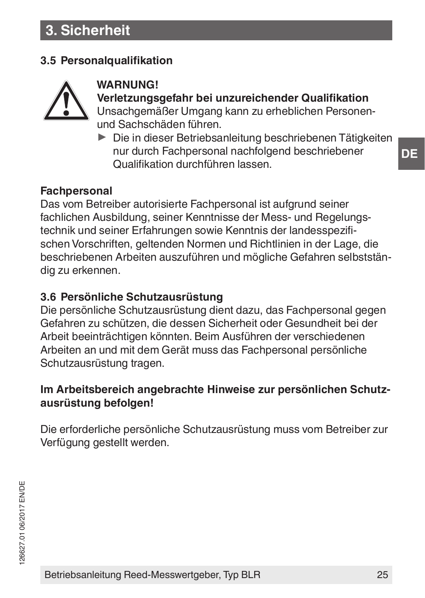## **3.5 Personalqualifikation**



#### **WARNUNG! Verletzungsgefahr bei unzureichender Qualifikation**

Unsachgemäßer Umgang kann zu erheblichen Personenund Sachschäden führen.

▶ Die in dieser Betriebsanleitung beschriebenen Tätigkeiten nur durch Fachpersonal nachfolgend beschriebener Qualifikation durchführen lassen.

### **Fachpersonal**

Das vom Betreiber autorisierte Fachpersonal ist aufgrund seiner fachlichen Ausbildung, seiner Kenntnisse der Mess- und Regelungstechnik und seiner Erfahrungen sowie Kenntnis der landesspezifischen Vorschriften, geltenden Normen und Richtlinien in der Lage, die beschriebenen Arbeiten auszuführen und mögliche Gefahren selbstständig zu erkennen.

#### **3.6 Persönliche Schutzausrüstung**

Die persönliche Schutzausrüstung dient dazu, das Fachpersonal gegen Gefahren zu schützen, die dessen Sicherheit oder Gesundheit bei der Arbeit beeinträchtigen könnten. Beim Ausführen der verschiedenen Arbeiten an und mit dem Gerät muss das Fachpersonal persönliche Schutzausrüstung tragen.

### **Im Arbeitsbereich angebrachte Hinweise zur persönlichen Schutzausrüstung befolgen!**

Die erforderliche persönliche Schutzausrüstung muss vom Betreiber zur Verfügung gestellt werden.

**DE**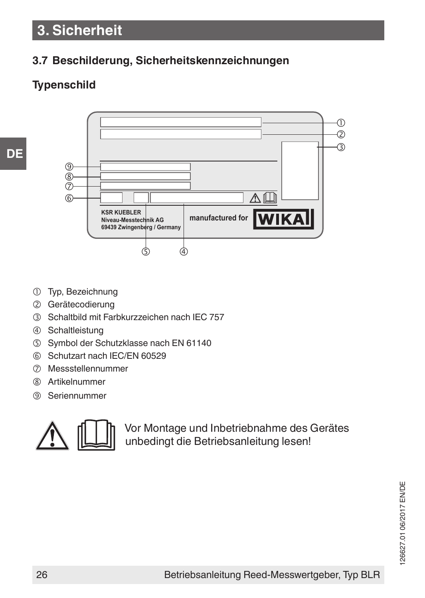## **3.7 Beschilderung, Sicherheitskennzeichnungen**

## **Typenschild**

| DE<br>⊚<br>⑧<br>ラ<br>6 | 2<br>3<br><b>KSR KUEBLER</b><br>manufactured for <b>WIKA</b><br>Niveau-Messtechnik AG<br>69439 Zwingenberg / Germany |  |
|------------------------|----------------------------------------------------------------------------------------------------------------------|--|
|                        | 14                                                                                                                   |  |

- Typ, Bezeichnung
- Gerätecodierung
- Schaltbild mit Farbkurzzeichen nach IEC 757
- Schaltleistung
- Symbol der Schutzklasse nach EN 61140
- Schutzart nach IEC/EN 60529
- Messstellennummer
- Artikelnummer
- Seriennummer



Vor Montage und Inbetriebnahme des Gerätes unbedingt die Betriebsanleitung lesen!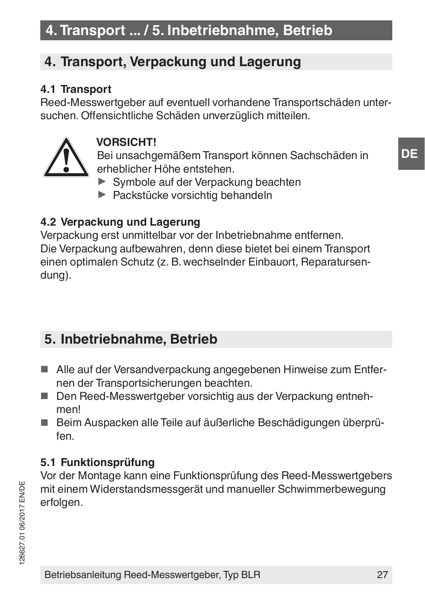# **4. Transport ... / 5. Inbetriebnahme, Betrieb**

# **4. Transport, Verpackung und Lagerung**

## **4.1 Transport**

Reed-Messwertgeber auf eventuell vorhandene Transportschäden untersuchen. Offensichtliche Schäden unverzüglich mitteilen.



## **VORSICHT!**

Bei unsachgemäßem Transport können Sachschäden in erheblicher Höhe entstehen.

- ▶ Symbole auf der Verpackung beachten
- ▶ Packstücke vorsichtig behandeln

## **4.2 Verpackung und Lagerung**

Verpackung erst unmittelbar vor der Inbetriebnahme entfernen. Die Verpackung aufbewahren, denn diese bietet bei einem Transport einen optimalen Schutz (z. B. wechselnder Einbauort, Reparatursendung).

# **5. Inbetriebnahme, Betrieb**

- Alle auf der Versandverpackung angegebenen Hinweise zum Entfernen der Transportsicherungen beachten.
- Den Reed-Messwertgeber vorsichtig aus der Verpackung entnehmen!
- Beim Auspacken alle Teile auf äußerliche Beschädigungen überprüfen.

#### **5.1 Funktionsprüfung**

Vor der Montage kann eine Funktionsprüfung des Reed-Messwertgebers mit einem Widerstandsmessgerät und manueller Schwimmerbewegung erfolgen.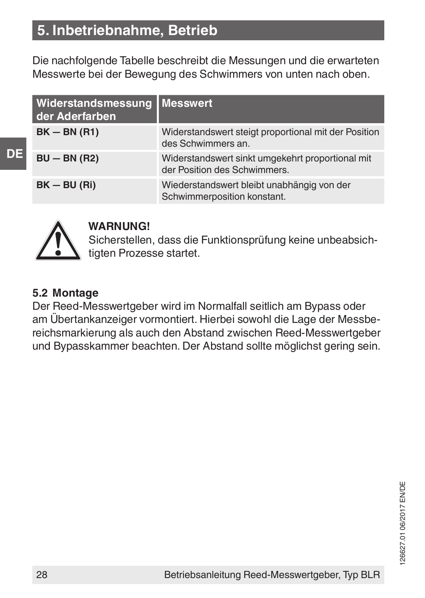# **5. Inbetriebnahme, Betrieb**

Die nachfolgende Tabelle beschreibt die Messungen und die erwarteten Messwerte bei der Bewegung des Schwimmers von unten nach oben.

| Widerstandsmessung<br>der Aderfarben | <b>Messwert</b>                                                                  |
|--------------------------------------|----------------------------------------------------------------------------------|
| $BK - BN (R1)$                       | Widerstandswert steigt proportional mit der Position<br>des Schwimmers an.       |
| $BU - BN (R2)$                       | Widerstandswert sinkt umgekehrt proportional mit<br>der Position des Schwimmers. |
| $BK - BU (Ri)$                       | Wiederstandswert bleibt unabhängig von der<br>Schwimmerposition konstant.        |



**DE**

#### **WARNUNG!**

Sicherstellen, dass die Funktionsprüfung keine unbeabsichtigten Prozesse startet.

#### **5.2 Montage**

Der Reed-Messwertgeber wird im Normalfall seitlich am Bypass oder am Übertankanzeiger vormontiert. Hierbei sowohl die Lage der Messbereichsmarkierung als auch den Abstand zwischen Reed-Messwertgeber und Bypasskammer beachten. Der Abstand sollte möglichst gering sein.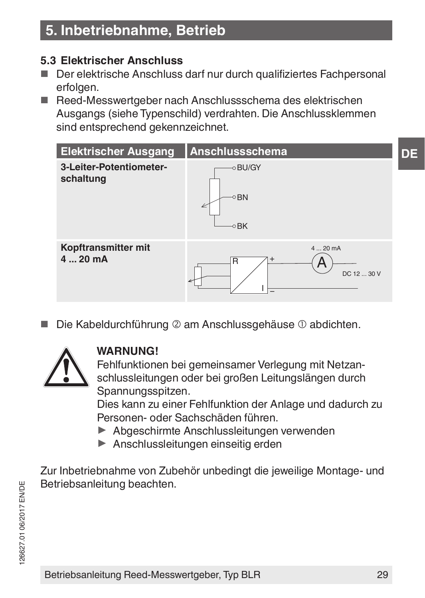# **5. Inbetriebnahme, Betrieb**

## **5.3 Elektrischer Anschluss**

- Der elektrische Anschluss darf nur durch qualifiziertes Fachpersonal erfolgen.
- Reed-Messwertgeber nach Anschlussschema des elektrischen Ausgangs (siehe Typenschild) verdrahten. Die Anschlussklemmen sind entsprechend gekennzeichnet.



Die Kabeldurchführung 2 am Anschlussgehäuse  $\mathbb D$  abdichten.



## **WARNUNG!**

Fehlfunktionen bei gemeinsamer Verlegung mit Netzanschlussleitungen oder bei großen Leitungslängen durch Spannungsspitzen.

Dies kann zu einer Fehlfunktion der Anlage und dadurch zu Personen- oder Sachschäden führen.

- ▶ Abgeschirmte Anschlussleitungen verwenden
- ▶ Anschlussleitungen einseitig erden

Zur Inbetriebnahme von Zubehör unbedingt die jeweilige Montage- und Betriebsanleitung beachten.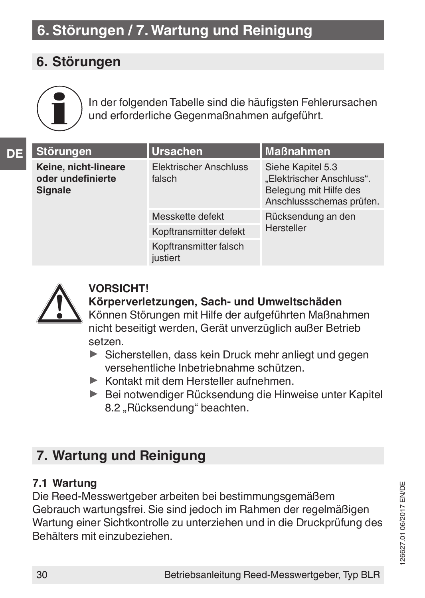# **6. Störungen**



In der folgenden Tabelle sind die häufigsten Fehlerursachen und erforderliche Gegenmaßnahmen aufgeführt.

| <b>Störungen</b>                                            | <b>Ursachen</b>                         | <b>Maßnahmen</b>                                                                                     |
|-------------------------------------------------------------|-----------------------------------------|------------------------------------------------------------------------------------------------------|
| Keine, nicht-lineare<br>oder undefinierte<br><b>Signale</b> | <b>Elektrischer Anschluss</b><br>falsch | Siehe Kapitel 5.3<br>"Elektrischer Anschluss".<br>Belegung mit Hilfe des<br>Anschlussschemas prüfen. |
|                                                             | Messkette defekt                        | Rücksendung an den                                                                                   |
|                                                             | Kopftransmitter defekt                  | Hersteller                                                                                           |
|                                                             | Kopftransmitter falsch<br>justiert      |                                                                                                      |



## **VORSICHT!**

## **Körperverletzungen, Sach- und Umweltschäden**

Können Störungen mit Hilfe der aufgeführten Maßnahmen nicht beseitigt werden, Gerät unverzüglich außer Betrieb setzen.

- $\triangleright$  Sicherstellen, dass kein Druck mehr anliegt und gegen versehentliche Inbetriebnahme schützen.
- ▶ Kontakt mit dem Hersteller aufnehmen.
- ▶ Bei notwendiger Rücksendung die Hinweise unter Kapitel 8.2 "Rücksendung" beachten.

# **7. Wartung und Reinigung**

### **7.1 Wartung**

Die Reed-Messwertgeber arbeiten bei bestimmungsgemäßem Gebrauch wartungsfrei. Sie sind jedoch im Rahmen der regelmäßigen Wartung einer Sichtkontrolle zu unterziehen und in die Druckprüfung des Behälters mit einzubeziehen.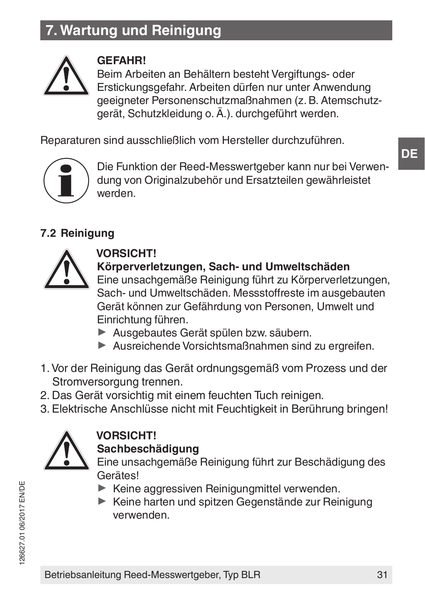# **7. Wartung und Reinigung**



## **GEFAHR!**

Beim Arbeiten an Behältern besteht Vergiftungs- oder Erstickungsgefahr. Arbeiten dürfen nur unter Anwendung geeigneter Personenschutzmaßnahmen (z. B. Atemschutzgerät, Schutzkleidung o. Ä.). durchgeführt werden.

Reparaturen sind ausschließlich vom Hersteller durchzuführen.



Die Funktion der Reed-Messwertgeber kann nur bei Verwendung von Originalzubehör und Ersatzteilen gewährleistet werden.

# **7.2 Reinigung**



## **Körperverletzungen, Sach- und Umweltschäden**

Eine unsachgemäße Reinigung führt zu Körperverletzungen, Sach- und Umweltschäden. Messstoffreste im ausgebauten Gerät können zur Gefährdung von Personen, Umwelt und Einrichtung führen.

- ▶ Ausgebautes Gerät spülen bzw. säubern.
- ▶ Ausreichende Vorsichtsmaßnahmen sind zu ergreifen.
- 1. Vor der Reinigung das Gerät ordnungsgemäß vom Prozess und der Stromversorgung trennen.
- 2. Das Gerät vorsichtig mit einem feuchten Tuch reinigen.
- 3. Elektrische Anschlüsse nicht mit Feuchtigkeit in Berührung bringen!



# **VORSICHT!**

**Sachbeschädigung**

Eine unsachgemäße Reinigung führt zur Beschädigung des **Gerätes!** 

- ▶ Keine aggressiven Reinigungmittel verwenden.
- ▶ Keine harten und spitzen Gegenstände zur Reinigung verwenden.

**DE**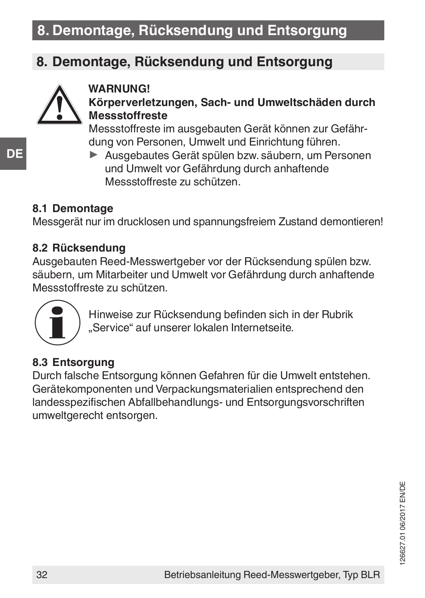# **8. Demontage, Rücksendung und Entsorgung**



**WARNUNG! Körperverletzungen, Sach- und Umweltschäden durch Messstoffreste**

Messstoffreste im ausgebauten Gerät können zur Gefährdung von Personen, Umwelt und Einrichtung führen.

▶ Ausgebautes Gerät spülen bzw. säubern, um Personen und Umwelt vor Gefährdung durch anhaftende Messstoffreste zu schützen.

## **8.1 Demontage**

Messgerät nur im drucklosen und spannungsfreiem Zustand demontieren!

## **8.2 Rücksendung**

Ausgebauten Reed-Messwertgeber vor der Rücksendung spülen bzw. säubern, um Mitarbeiter und Umwelt vor Gefährdung durch anhaftende Messstoffreste zu schützen.



Hinweise zur Rücksendung befinden sich in der Rubrik "Service" auf unserer lokalen Internetseite.

### **8.3 Entsorgung**

Durch falsche Entsorgung können Gefahren für die Umwelt entstehen. Gerätekomponenten und Verpackungsmaterialien entsprechend den landesspezifischen Abfallbehandlungs- und Entsorgungsvorschriften umweltgerecht entsorgen.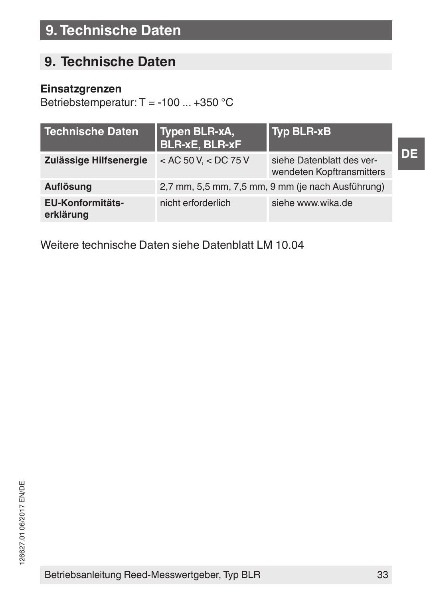# **9. Technische Daten**

# **9. Technische Daten**

## **Einsatzgrenzen**

Betriebstemperatur: T = -100 ... +350 °C

| <b>Technische Daten</b>              | Typen BLR-xA,<br>  BLR-xE, BLR-xF | <b>Typ BLR-xB</b>                                      |    |
|--------------------------------------|-----------------------------------|--------------------------------------------------------|----|
| Zulässige Hilfsenergie               | < AC 50 V, < DC 75 V              | siehe Datenblatt des ver-<br>wendeten Kopftransmitters | DE |
| Auflösung                            |                                   | 2,7 mm, 5,5 mm, 7,5 mm, 9 mm (je nach Ausführung)      |    |
| <b>EU-Konformitäts-</b><br>erklärung | nicht erforderlich                | siehe www.wika.de                                      |    |

Weitere technische Daten siehe Datenblatt LM 10.04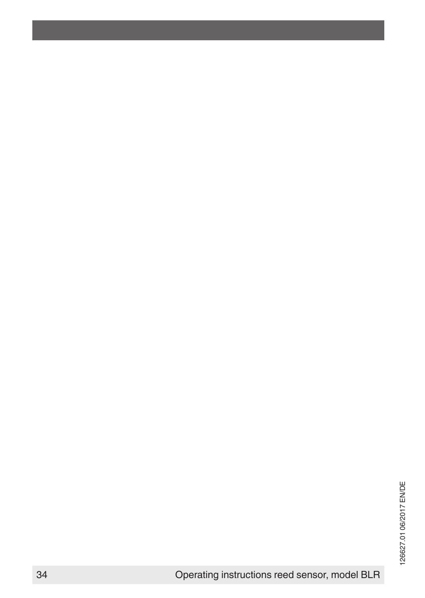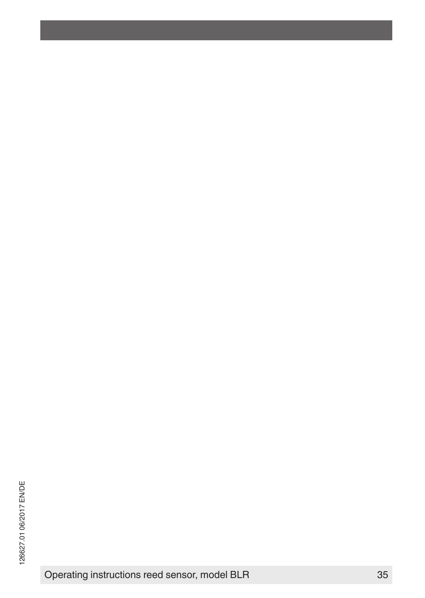Operating instructions reed sensor, model BLR